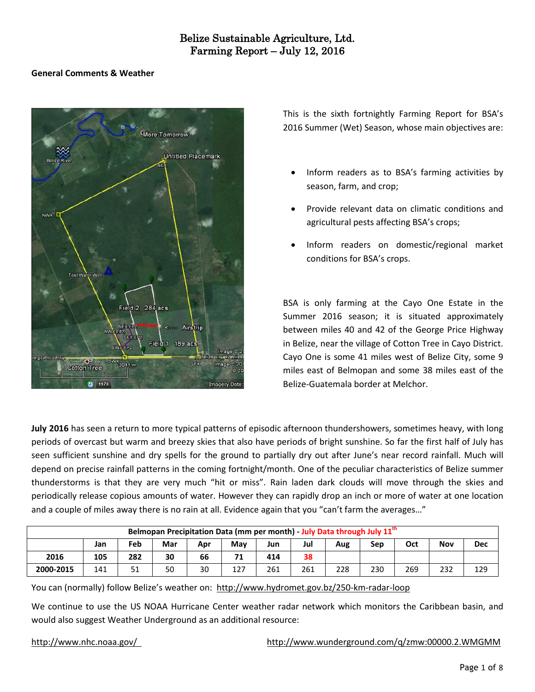### **General Comments & Weather**



This is the sixth fortnightly Farming Report for BSA's 2016 Summer (Wet) Season, whose main objectives are:

- Inform readers as to BSA's farming activities by season, farm, and crop;
- Provide relevant data on climatic conditions and agricultural pests affecting BSA's crops;
- Inform readers on domestic/regional market conditions for BSA's crops.

BSA is only farming at the Cayo One Estate in the Summer 2016 season; it is situated approximately between miles 40 and 42 of the George Price Highway in Belize, near the village of Cotton Tree in Cayo District. Cayo One is some 41 miles west of Belize City, some 9 miles east of Belmopan and some 38 miles east of the Belize-Guatemala border at Melchor.

**July 2016** has seen a return to more typical patterns of episodic afternoon thundershowers, sometimes heavy, with long periods of overcast but warm and breezy skies that also have periods of bright sunshine. So far the first half of July has seen sufficient sunshine and dry spells for the ground to partially dry out after June's near record rainfall. Much will depend on precise rainfall patterns in the coming fortnight/month. One of the peculiar characteristics of Belize summer thunderstorms is that they are very much "hit or miss". Rain laden dark clouds will move through the skies and periodically release copious amounts of water. However they can rapidly drop an inch or more of water at one location and a couple of miles away there is no rain at all. Evidence again that you "can't farm the averages…"

| Belmopan Precipitation Data (mm per month) - July Data through July 11 <sup>th</sup> |     |     |     |     |     |     |     |     |     |     |     |            |
|--------------------------------------------------------------------------------------|-----|-----|-----|-----|-----|-----|-----|-----|-----|-----|-----|------------|
|                                                                                      | Jan | Feb | Mar | Apr | Mav | Jun | Jul | Aug | Sep | Oct | Nov | <b>Dec</b> |
| 2016                                                                                 | 105 | 282 | 30  | 66  | 71  | 414 | 38  |     |     |     |     |            |
| 2000-2015                                                                            | 141 | ᇰᆂ  | 50  | 30  | 127 | 261 | 261 | 228 | 230 | 269 | 232 | 129        |

You can (normally) follow Belize's weather on: <http://www.hydromet.gov.bz/250-km-radar-loop>

We continue to use the US NOAA Hurricane Center weather radar network which monitors the Caribbean basin, and would also suggest Weather Underground as an additional resource:

### <http://www.nhc.noaa.gov/><http://www.wunderground.com/q/zmw:00000.2.WMGMM>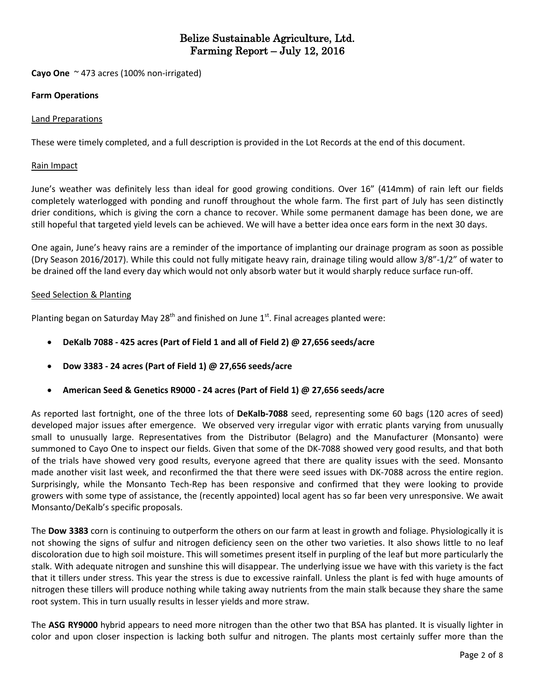**Cayo One** ~ 473 acres (100% non-irrigated)

### **Farm Operations**

### Land Preparations

These were timely completed, and a full description is provided in the Lot Records at the end of this document.

#### Rain Impact

June's weather was definitely less than ideal for good growing conditions. Over 16" (414mm) of rain left our fields completely waterlogged with ponding and runoff throughout the whole farm. The first part of July has seen distinctly drier conditions, which is giving the corn a chance to recover. While some permanent damage has been done, we are still hopeful that targeted yield levels can be achieved. We will have a better idea once ears form in the next 30 days.

One again, June's heavy rains are a reminder of the importance of implanting our drainage program as soon as possible (Dry Season 2016/2017). While this could not fully mitigate heavy rain, drainage tiling would allow 3/8"-1/2" of water to be drained off the land every day which would not only absorb water but it would sharply reduce surface run-off.

### Seed Selection & Planting

Planting began on Saturday May 28<sup>th</sup> and finished on June 1<sup>st</sup>. Final acreages planted were:

- **DeKalb 7088 - 425 acres (Part of Field 1 and all of Field 2) @ 27,656 seeds/acre**
- **Dow 3383 - 24 acres (Part of Field 1) @ 27,656 seeds/acre**
- **American Seed & Genetics R9000 - 24 acres (Part of Field 1) @ 27,656 seeds/acre**

As reported last fortnight, one of the three lots of **DeKalb-7088** seed, representing some 60 bags (120 acres of seed) developed major issues after emergence. We observed very irregular vigor with erratic plants varying from unusually small to unusually large. Representatives from the Distributor (Belagro) and the Manufacturer (Monsanto) were summoned to Cayo One to inspect our fields. Given that some of the DK-7088 showed very good results, and that both of the trials have showed very good results, everyone agreed that there are quality issues with the seed. Monsanto made another visit last week, and reconfirmed the that there were seed issues with DK-7088 across the entire region. Surprisingly, while the Monsanto Tech-Rep has been responsive and confirmed that they were looking to provide growers with some type of assistance, the (recently appointed) local agent has so far been very unresponsive. We await Monsanto/DeKalb's specific proposals.

The **Dow 3383** corn is continuing to outperform the others on our farm at least in growth and foliage. Physiologically it is not showing the signs of sulfur and nitrogen deficiency seen on the other two varieties. It also shows little to no leaf discoloration due to high soil moisture. This will sometimes present itself in purpling of the leaf but more particularly the stalk. With adequate nitrogen and sunshine this will disappear. The underlying issue we have with this variety is the fact that it tillers under stress. This year the stress is due to excessive rainfall. Unless the plant is fed with huge amounts of nitrogen these tillers will produce nothing while taking away nutrients from the main stalk because they share the same root system. This in turn usually results in lesser yields and more straw.

The **ASG RY9000** hybrid appears to need more nitrogen than the other two that BSA has planted. It is visually lighter in color and upon closer inspection is lacking both sulfur and nitrogen. The plants most certainly suffer more than the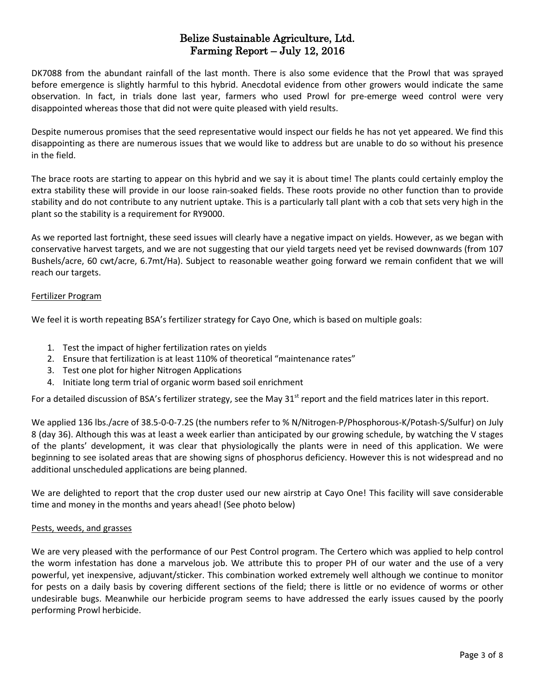DK7088 from the abundant rainfall of the last month. There is also some evidence that the Prowl that was sprayed before emergence is slightly harmful to this hybrid. Anecdotal evidence from other growers would indicate the same observation. In fact, in trials done last year, farmers who used Prowl for pre-emerge weed control were very disappointed whereas those that did not were quite pleased with yield results.

Despite numerous promises that the seed representative would inspect our fields he has not yet appeared. We find this disappointing as there are numerous issues that we would like to address but are unable to do so without his presence in the field.

The brace roots are starting to appear on this hybrid and we say it is about time! The plants could certainly employ the extra stability these will provide in our loose rain-soaked fields. These roots provide no other function than to provide stability and do not contribute to any nutrient uptake. This is a particularly tall plant with a cob that sets very high in the plant so the stability is a requirement for RY9000.

As we reported last fortnight, these seed issues will clearly have a negative impact on yields. However, as we began with conservative harvest targets, and we are not suggesting that our yield targets need yet be revised downwards (from 107 Bushels/acre, 60 cwt/acre, 6.7mt/Ha). Subject to reasonable weather going forward we remain confident that we will reach our targets.

## Fertilizer Program

We feel it is worth repeating BSA's fertilizer strategy for Cayo One, which is based on multiple goals:

- 1. Test the impact of higher fertilization rates on yields
- 2. Ensure that fertilization is at least 110% of theoretical "maintenance rates"
- 3. Test one plot for higher Nitrogen Applications
- 4. Initiate long term trial of organic worm based soil enrichment

For a detailed discussion of BSA's fertilizer strategy, see the May  $31<sup>st</sup>$  report and the field matrices later in this report.

We applied 136 lbs./acre of 38.5-0-0-7.2S (the numbers refer to % N/Nitrogen-P/Phosphorous-K/Potash-S/Sulfur) on July 8 (day 36). Although this was at least a week earlier than anticipated by our growing schedule, by watching the V stages of the plants' development, it was clear that physiologically the plants were in need of this application. We were beginning to see isolated areas that are showing signs of phosphorus deficiency. However this is not widespread and no additional unscheduled applications are being planned.

We are delighted to report that the crop duster used our new airstrip at Cayo One! This facility will save considerable time and money in the months and years ahead! (See photo below)

## Pests, weeds, and grasses

We are very pleased with the performance of our Pest Control program. The Certero which was applied to help control the worm infestation has done a marvelous job. We attribute this to proper PH of our water and the use of a very powerful, yet inexpensive, adjuvant/sticker. This combination worked extremely well although we continue to monitor for pests on a daily basis by covering different sections of the field; there is little or no evidence of worms or other undesirable bugs. Meanwhile our herbicide program seems to have addressed the early issues caused by the poorly performing Prowl herbicide.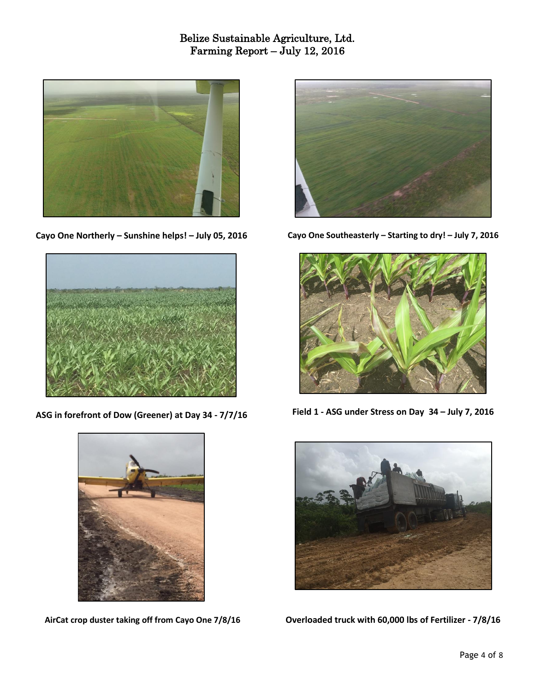

**Cayo One Northerly – Sunshine helps! – July 05, 2016**



**ASG in forefront of Dow (Greener) at Day 34 - 7/7/16**



**AirCat crop duster taking off from Cayo One 7/8/16**



**Cayo One Southeasterly – Starting to dry! – July 7, 2016**



**Field 1 - ASG under Stress on Day 34 – July 7, 2016**



**Overloaded truck with 60,000 lbs of Fertilizer - 7/8/16**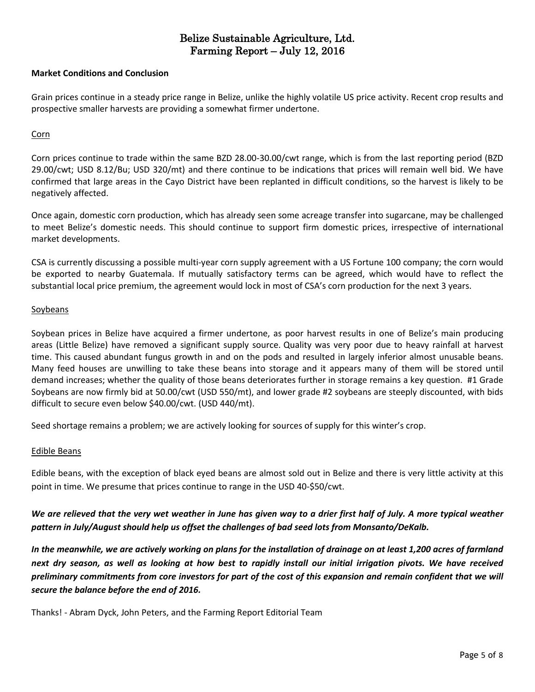#### **Market Conditions and Conclusion**

Grain prices continue in a steady price range in Belize, unlike the highly volatile US price activity. Recent crop results and prospective smaller harvests are providing a somewhat firmer undertone.

#### **Corn**

Corn prices continue to trade within the same BZD 28.00-30.00/cwt range, which is from the last reporting period (BZD 29.00/cwt; USD 8.12/Bu; USD 320/mt) and there continue to be indications that prices will remain well bid. We have confirmed that large areas in the Cayo District have been replanted in difficult conditions, so the harvest is likely to be negatively affected.

Once again, domestic corn production, which has already seen some acreage transfer into sugarcane, may be challenged to meet Belize's domestic needs. This should continue to support firm domestic prices, irrespective of international market developments.

CSA is currently discussing a possible multi-year corn supply agreement with a US Fortune 100 company; the corn would be exported to nearby Guatemala. If mutually satisfactory terms can be agreed, which would have to reflect the substantial local price premium, the agreement would lock in most of CSA's corn production for the next 3 years.

### Soybeans

Soybean prices in Belize have acquired a firmer undertone, as poor harvest results in one of Belize's main producing areas (Little Belize) have removed a significant supply source. Quality was very poor due to heavy rainfall at harvest time. This caused abundant fungus growth in and on the pods and resulted in largely inferior almost unusable beans. Many feed houses are unwilling to take these beans into storage and it appears many of them will be stored until demand increases; whether the quality of those beans deteriorates further in storage remains a key question. #1 Grade Soybeans are now firmly bid at 50.00/cwt (USD 550/mt), and lower grade #2 soybeans are steeply discounted, with bids difficult to secure even below \$40.00/cwt. (USD 440/mt).

Seed shortage remains a problem; we are actively looking for sources of supply for this winter's crop.

#### Edible Beans

Edible beans, with the exception of black eyed beans are almost sold out in Belize and there is very little activity at this point in time. We presume that prices continue to range in the USD 40-\$50/cwt.

## We are relieved that the very wet weather in June has given way to a drier first half of July. A more typical weather *pattern in July/August should help us offset the challenges of bad seed lots from Monsanto/DeKalb.*

In the meanwhile, we are actively working on plans for the installation of drainage on at least 1,200 acres of farmland next dry season, as well as looking at how best to rapidly install our initial irrigation pivots. We have received preliminary commitments from core investors for part of the cost of this expansion and remain confident that we will *secure the balance before the end of 2016.*

Thanks! - Abram Dyck, John Peters, and the Farming Report Editorial Team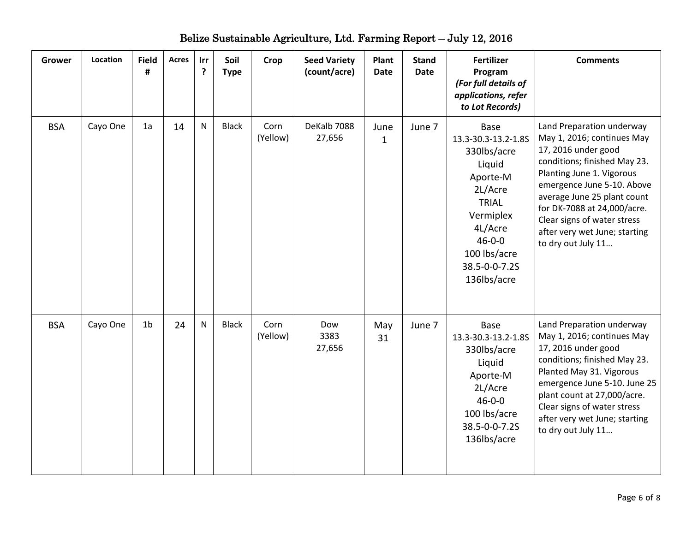| <b>Grower</b> | <b>Location</b> | <b>Field</b><br># | <b>Acres</b> | Irr<br>$\cdot$ | Soil<br><b>Type</b> | Crop             | <b>Seed Variety</b><br>(count/acre) | Plant<br><b>Date</b> | <b>Stand</b><br><b>Date</b> | <b>Fertilizer</b><br>Program<br>(For full details of<br>applications, refer<br>to Lot Records)                                                                                             | <b>Comments</b>                                                                                                                                                                                                                                                                                                               |
|---------------|-----------------|-------------------|--------------|----------------|---------------------|------------------|-------------------------------------|----------------------|-----------------------------|--------------------------------------------------------------------------------------------------------------------------------------------------------------------------------------------|-------------------------------------------------------------------------------------------------------------------------------------------------------------------------------------------------------------------------------------------------------------------------------------------------------------------------------|
| <b>BSA</b>    | Cayo One        | 1a                | 14           | N              | <b>Black</b>        | Corn<br>(Yellow) | DeKalb 7088<br>27,656               | June<br>$\mathbf{1}$ | June 7                      | <b>Base</b><br>13.3-30.3-13.2-1.8S<br>330lbs/acre<br>Liquid<br>Aporte-M<br>2L/Acre<br><b>TRIAL</b><br>Vermiplex<br>4L/Acre<br>$46 - 0 - 0$<br>100 lbs/acre<br>38.5-0-0-7.2S<br>136lbs/acre | Land Preparation underway<br>May 1, 2016; continues May<br>17, 2016 under good<br>conditions; finished May 23.<br>Planting June 1. Vigorous<br>emergence June 5-10. Above<br>average June 25 plant count<br>for DK-7088 at 24,000/acre.<br>Clear signs of water stress<br>after very wet June; starting<br>to dry out July 11 |
| <b>BSA</b>    | Cayo One        | 1 <sub>b</sub>    | 24           | N              | <b>Black</b>        | Corn<br>(Yellow) | Dow<br>3383<br>27,656               | May<br>31            | June 7                      | Base<br>13.3-30.3-13.2-1.8S<br>330lbs/acre<br>Liquid<br>Aporte-M<br>2L/Acre<br>$46 - 0 - 0$<br>100 lbs/acre<br>38.5-0-0-7.2S<br>136lbs/acre                                                | Land Preparation underway<br>May 1, 2016; continues May<br>17, 2016 under good<br>conditions; finished May 23.<br>Planted May 31. Vigorous<br>emergence June 5-10. June 25<br>plant count at 27,000/acre.<br>Clear signs of water stress<br>after very wet June; starting<br>to dry out July 11                               |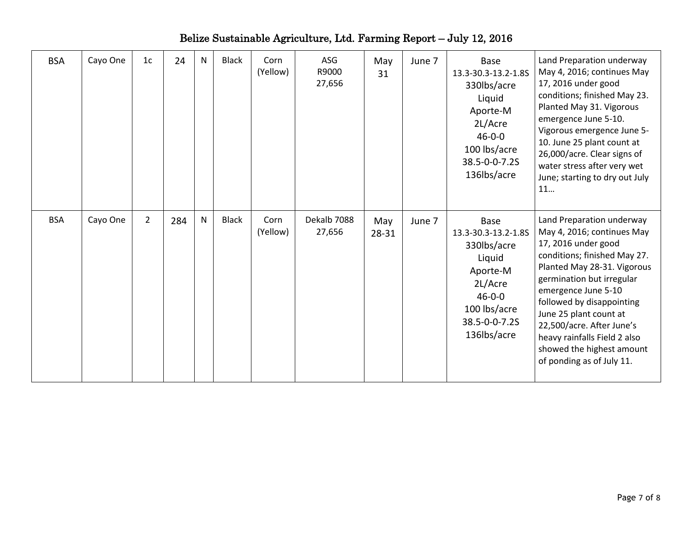| <b>BSA</b> | Cayo One | 1c             | 24  | N | <b>Black</b> | Corn<br>(Yellow) | ASG<br>R9000<br>27,656 | May<br>31    | June 7 | Base<br>13.3-30.3-13.2-1.8S<br>330lbs/acre<br>Liquid<br>Aporte-M<br>2L/Acre<br>$46 - 0 - 0$<br>100 lbs/acre<br>38.5-0-0-7.2S<br>136lbs/acre | Land Preparation underway<br>May 4, 2016; continues May<br>17, 2016 under good<br>conditions; finished May 23.<br>Planted May 31. Vigorous<br>emergence June 5-10.<br>Vigorous emergence June 5-<br>10. June 25 plant count at<br>26,000/acre. Clear signs of<br>water stress after very wet<br>June; starting to dry out July<br>11                                            |
|------------|----------|----------------|-----|---|--------------|------------------|------------------------|--------------|--------|---------------------------------------------------------------------------------------------------------------------------------------------|---------------------------------------------------------------------------------------------------------------------------------------------------------------------------------------------------------------------------------------------------------------------------------------------------------------------------------------------------------------------------------|
| <b>BSA</b> | Cayo One | $\overline{2}$ | 284 | N | <b>Black</b> | Corn<br>(Yellow) | Dekalb 7088<br>27,656  | May<br>28-31 | June 7 | Base<br>13.3-30.3-13.2-1.8S<br>330lbs/acre<br>Liquid<br>Aporte-M<br>2L/Acre<br>$46 - 0 - 0$<br>100 lbs/acre<br>38.5-0-0-7.2S<br>136lbs/acre | Land Preparation underway<br>May 4, 2016; continues May<br>17, 2016 under good<br>conditions; finished May 27.<br>Planted May 28-31. Vigorous<br>germination but irregular<br>emergence June 5-10<br>followed by disappointing<br>June 25 plant count at<br>22,500/acre. After June's<br>heavy rainfalls Field 2 also<br>showed the highest amount<br>of ponding as of July 11. |